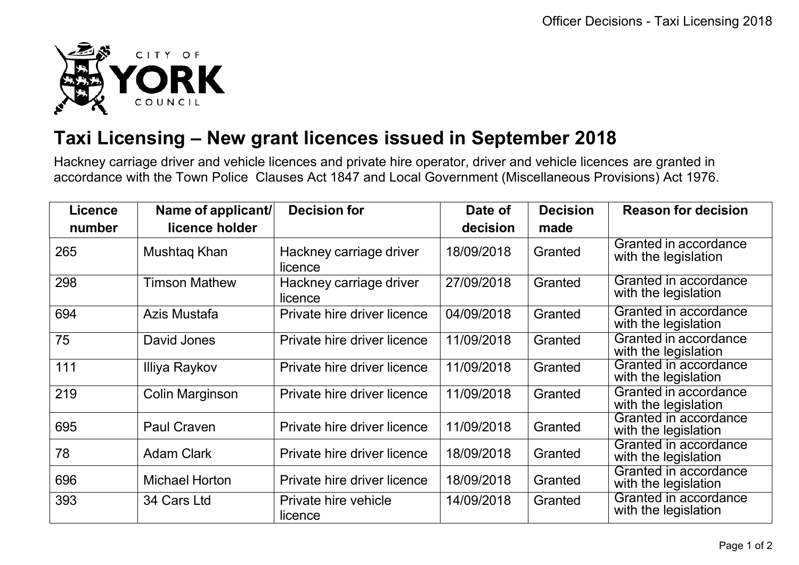

## **Taxi Licensing – New grant licences issued in September 2018**

Hackney carriage driver and vehicle licences and private hire operator, driver and vehicle licences are granted in accordance with the Town Police Clauses Act 1847 and Local Government (Miscellaneous Provisions) Act 1976.

| <b>Licence</b> | Name of applicant/    | <b>Decision for</b>                | Date of    | <b>Decision</b> | <b>Reason for decision</b>                    |
|----------------|-----------------------|------------------------------------|------------|-----------------|-----------------------------------------------|
| number         | licence holder        |                                    | decision   | made            |                                               |
| 265            | Mushtag Khan          | Hackney carriage driver<br>licence | 18/09/2018 | Granted         | Granted in accordance<br>with the legislation |
| 298            | <b>Timson Mathew</b>  | Hackney carriage driver<br>licence | 27/09/2018 | Granted         | Granted in accordance<br>with the legislation |
| 694            | Azis Mustafa          | Private hire driver licence        | 04/09/2018 | Granted         | Granted in accordance<br>with the legislation |
| 75             | David Jones           | Private hire driver licence        | 11/09/2018 | Granted         | Granted in accordance<br>with the legislation |
| 111            | Illiya Raykov         | Private hire driver licence        | 11/09/2018 | Granted         | Granted in accordance<br>with the legislation |
| 219            | Colin Marginson       | Private hire driver licence        | 11/09/2018 | Granted         | Granted in accordance<br>with the legislation |
| 695            | <b>Paul Craven</b>    | Private hire driver licence        | 11/09/2018 | Granted         | Granted in accordance<br>with the legislation |
| 78             | <b>Adam Clark</b>     | Private hire driver licence        | 18/09/2018 | Granted         | Granted in accordance<br>with the legislation |
| 696            | <b>Michael Horton</b> | Private hire driver licence        | 18/09/2018 | Granted         | Granted in accordance<br>with the legislation |
| 393            | 34 Cars Ltd           | Private hire vehicle<br>licence    | 14/09/2018 | Granted         | Granted in accordance<br>with the legislation |